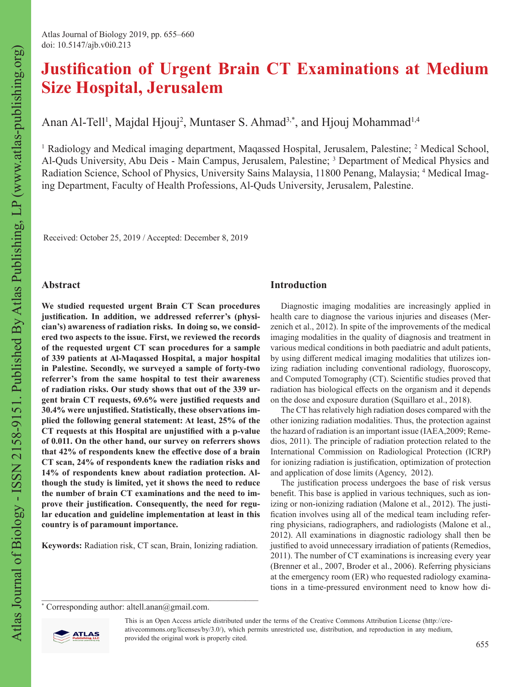# **Justification of Urgent Brain CT Examinations at Medium Size Hospital, Jerusalem**

Anan Al-Tell<sup>1</sup>, Majdal Hjouj<sup>2</sup>, Muntaser S. Ahmad<sup>3,\*</sup>, and Hjouj Mohammad<sup>1,4</sup>

<sup>1</sup> Radiology and Medical imaging department, Maqassed Hospital, Jerusalem, Palestine; <sup>2</sup> Medical School, Al-Quds University, Abu Deis - Main Campus, Jerusalem, Palestine;<sup>3</sup> Department of Medical Physics and Radiation Science, School of Physics, University Sains Malaysia, 11800 Penang, Malaysia; <sup>4</sup> Medical Imaging Department, Faculty of Health Professions, Al-Quds University, Jerusalem, Palestine.

Received: October 25, 2019 / Accepted: December 8, 2019

## **Abstract**

**We studied requested urgent Brain CT Scan procedures justification. In addition, we addressed referrer's (physician's) awareness of radiation risks. In doing so, we considered two aspects to the issue. First, we reviewed the records of the requested urgent CT scan procedures for a sample of 339 patients at Al-Maqassed Hospital, a major hospital in Palestine. Secondly, we surveyed a sample of forty-two referrer's from the same hospital to test their awareness of radiation risks. Our study shows that out of the 339 urgent brain CT requests, 69.6% were justified requests and 30.4% were unjustified. Statistically, these observations implied the following general statement: At least, 25% of the CT requests at this Hospital are unjustified with a p-value of 0.011. On the other hand, our survey on referrers shows that 42% of respondents knew the effective dose of a brain CT scan, 24% of respondents knew the radiation risks and 14% of respondents knew about radiation protection. Although the study is limited, yet it shows the need to reduce the number of brain CT examinations and the need to improve their justification. Consequently, the need for regular education and guideline implementation at least in this country is of paramount importance.**

**Keywords:** Radiation risk, CT scan, Brain, Ionizing radiation.

 $\mathcal{L}_\mathcal{L}$  , and the contribution of the contribution of the contribution of the contribution of the contribution of the contribution of the contribution of the contribution of the contribution of the contribution of

## **Introduction**

Diagnostic imaging modalities are increasingly applied in health care to diagnose the various injuries and diseases (Merzenich et al., 2012). In spite of the improvements of the medical imaging modalities in the quality of diagnosis and treatment in various medical conditions in both paediatric and adult patients, by using different medical imaging modalities that utilizes ionizing radiation including conventional radiology, fluoroscopy, and Computed Tomography (CT). Scientific studies proved that radiation has biological effects on the organism and it depends on the dose and exposure duration (Squillaro et al., 2018).

The CT has relatively high radiation doses compared with the other ionizing radiation modalities. Thus, the protection against the hazard of radiation is an important issue (IAEA,2009; Remedios, 2011). The principle of radiation protection related to the International Commission on Radiological Protection (ICRP) for ionizing radiation is justification, optimization of protection and application of dose limits (Agency, 2012).

The justification process undergoes the base of risk versus benefit. This base is applied in various techniques, such as ionizing or non-ionizing radiation (Malone et al., 2012). The justification involves using all of the medical team including referring physicians, radiographers, and radiologists (Malone et al., 2012). All examinations in diagnostic radiology shall then be justified to avoid unnecessary irradiation of patients (Remedios, 2011). The number of CT examinations is increasing every year (Brenner et al., 2007, Broder et al., 2006). Referring physicians at the emergency room (ER) who requested radiology examinations in a time-pressured environment need to know how di-

<sup>\*</sup> Corresponding author: altell.anan@gmail.com.



This is an Open Access article distributed under the terms of the Creative Commons Attribution License (http://creativecommons.org/licenses/by/3.0/), which permits unrestricted use, distribution, and reproduction in any medium, provided the original work is properly cited.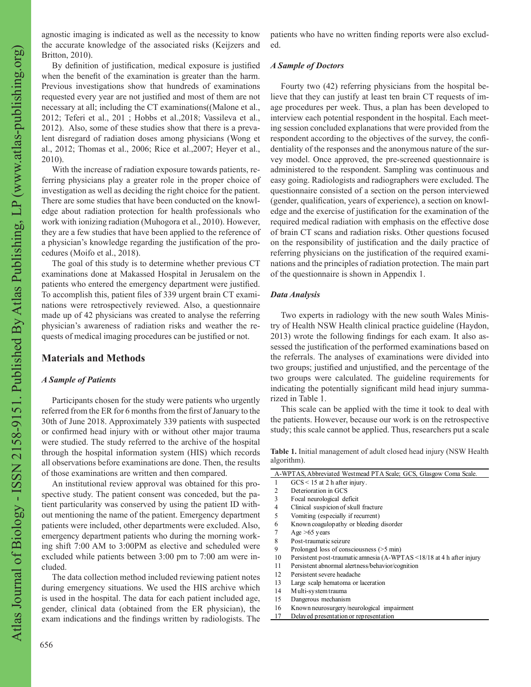agnostic imaging is indicated as well as the necessity to know the accurate knowledge of the associated risks (Keijzers and Britton, 2010).

patients who have no written finding reports were also excluded.

By definition of justification, medical exposure is justified when the benefit of the examination is greater than the harm. Previous investigations show that hundreds of examinations requested every year are not justified and most of them are not necessary at all; including the CT examinations((Malone et al., 2012; Teferi et al., 201 ; Hobbs et al.,2018; Vassileva et al., 2012). Also, some of these studies show that there is a prevalent disregard of radiation doses among physicians (Wong et al., 2012; Thomas et al., 2006; Rice et al.,2007; Heyer et al., 2010).

With the increase of radiation exposure towards patients, referring physicians play a greater role in the proper choice of investigation as well as deciding the right choice for the patient. There are some studies that have been conducted on the knowledge about radiation protection for health professionals who work with ionizing radiation (Muhogora et al., 2010). However, they are a few studies that have been applied to the reference of a physician's knowledge regarding the justification of the procedures (Moifo et al., 2018).

The goal of this study is to determine whether previous CT examinations done at Makassed Hospital in Jerusalem on the patients who entered the emergency department were justified. To accomplish this, patient files of 339 urgent brain CT examinations were retrospectively reviewed. Also, a questionnaire made up of 42 physicians was created to analyse the referring physician's awareness of radiation risks and weather the requests of medical imaging procedures can be justified or not.

## **Materials and Methods**

#### *A Sample of Patients*

Participants chosen for the study were patients who urgently referred from the ER for 6 months from the first of January to the 30th of June 2018. Approximately 339 patients with suspected or confirmed head injury with or without other major trauma were studied. The study referred to the archive of the hospital through the hospital information system (HIS) which records all observations before examinations are done. Then, the results of those examinations are written and then compared.

An institutional review approval was obtained for this prospective study. The patient consent was conceded, but the patient particularity was conserved by using the patient ID without mentioning the name of the patient. Emergency department patients were included, other departments were excluded. Also, emergency department patients who during the morning working shift 7:00 AM to 3:00PM as elective and scheduled were excluded while patients between 3:00 pm to 7:00 am were included.

The data collection method included reviewing patient notes during emergency situations. We used the HIS archive which is used in the hospital. The data for each patient included age, gender, clinical data (obtained from the ER physician), the exam indications and the findings written by radiologists. The

## *A Sample of Doctors*

Fourty two (42) referring physicians from the hospital believe that they can justify at least ten brain CT requests of image procedures per week. Thus, a plan has been developed to interview each potential respondent in the hospital. Each meeting session concluded explanations that were provided from the respondent according to the objectives of the survey, the confidentiality of the responses and the anonymous nature of the survey model. Once approved, the pre-screened questionnaire is administered to the respondent. Sampling was continuous and easy going. Radiologists and radiographers were excluded. The questionnaire consisted of a section on the person interviewed (gender, qualification, years of experience), a section on knowledge and the exercise of justification for the examination of the required medical radiation with emphasis on the effective dose of brain CT scans and radiation risks. Other questions focused on the responsibility of justification and the daily practice of referring physicians on the justification of the required examinations and the principles of radiation protection. The main part of the questionnaire is shown in Appendix 1.

#### *Data Analysis*

Two experts in radiology with the new south Wales Ministry of Health NSW Health clinical practice guideline (Haydon, 2013) wrote the following findings for each exam. It also assessed the justification of the performed examinations based on the referrals. The analyses of examinations were divided into two groups; justified and unjustified, and the percentage of the two groups were calculated. The guideline requirements for indicating the potentially significant mild head injury summarized in Table 1.

This scale can be applied with the time it took to deal with the patients. However, because our work is on the retrospective study; this scale cannot be applied. Thus, researchers put a scale

**Table 1.** Initial management of adult closed head injury (NSW Health algorithm).

| A-WPTAS, Abbreviated Westmead PTA Scale; GCS, Glasgow Coma Scale. |                                                                       |  |
|-------------------------------------------------------------------|-----------------------------------------------------------------------|--|
| 1                                                                 | $GCS < 15$ at 2 h after injury.                                       |  |
| 2                                                                 | Deterioration in GCS                                                  |  |
| $\mathbf{3}$                                                      | Focal neurological deficit                                            |  |
| 4                                                                 | Clinical suspicion of skull fracture                                  |  |
| 5                                                                 | Vomiting (especially if recurrent)                                    |  |
| 6                                                                 | Known coagulopathy or bleeding disorder                               |  |
| 7                                                                 | Age $>65$ years                                                       |  |
| 8                                                                 | Post-traumatic seizure                                                |  |
| 9                                                                 | Prolonged loss of consciousness $($ >5 min)                           |  |
| 10                                                                | Persistent post-traumatic amnesia (A-WPTAS <18/18 at 4 h after injury |  |
| 11                                                                | Persistent abnormal alertness/behavior/cognition                      |  |
| 12                                                                | Persistent severe headache                                            |  |
| 13                                                                | Large scalp hematoma or laceration                                    |  |
| 14                                                                | Multi-system trauma                                                   |  |
| 15                                                                | Dangerous mechanism                                                   |  |
| 16                                                                | Known neurosurgery/neurological impairment                            |  |
| 17                                                                | Delayed presentation or representation                                |  |
|                                                                   |                                                                       |  |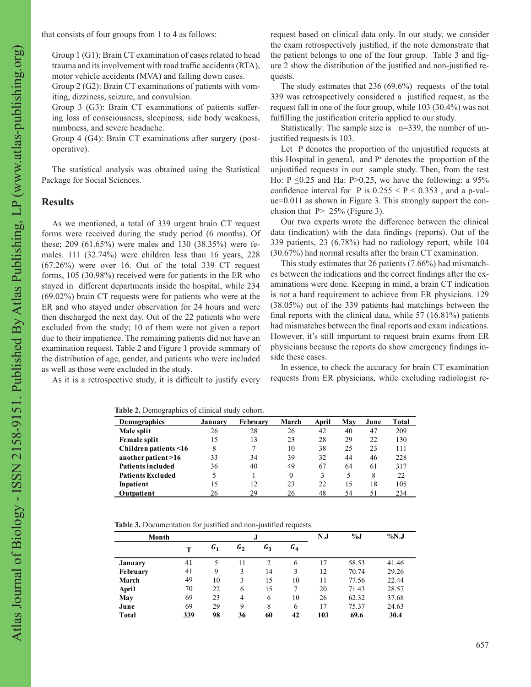that consists of four groups from 1 to 4 as follows:

Group 1 (G1): Brain CT examination of cases related to head trauma and its involvement with road traffic accidents (RTA), motor vehicle accidents (MVA) and falling down cases.

Group 2 (G2): Brain CT examinations of patients with vomiting, dizziness, seizure, and convulsion.

Group 3 (G3): Brain CT examinations of patients suffering loss of consciousness, sleepiness, side body weakness, numbness, and severe headache.

Group 4 (G4): Brain CT examinations after surgery (postoperative).

The statistical analysis was obtained using the Statistical Package for Social Sciences.

## **Results**

As we mentioned, a total of 339 urgent brain CT request forms were received during the study period (6 months). Of these; 209 (61.65%) were males and 130 (38.35%) were females. 111 (32.74%) were children less than 16 years, 228 (67.26%) were over 16. Out of the total 339 CT request forms, 105 (30.98%) received were for patients in the ER who stayed in different departments inside the hospital, while 234 (69.02%) brain CT requests were for patients who were at the ER and who stayed under observation for 24 hours and were then discharged the next day. Out of the 22 patients who were excluded from the study; 10 of them were not given a report due to their impatience. The remaining patients did not have an examination request. Table 2 and Figure 1 provide summary of the distribution of age, gender, and patients who were included as well as those were excluded in the study.

As it is a retrospective study, it is difficult to justify every

request based on clinical data only. In our study, we consider the exam retrospectively justified, if the note demonstrate that the patient belongs to one of the four group. Table 3 and figure 2 show the distribution of the justified and non-justified requests.

The study estimates that 236 (69.6%) requests of the total 339 was retrospectively considered a justified request, as the request fall in one of the four group, while 103 (30.4%) was not fulfilling the justification criteria applied to our study.

Statistically: The sample size is  $n=339$ , the number of unjustified requests is 103.

Let P denotes the proportion of the unjustified requests at this Hospital in general, and P*<sup>v</sup>* denotes the proportion of the unjustified requests in our sample study. Then, from the test Ho:  $P \le 0.25$  and Ha: P>0.25, we have the following: a 95% confidence interval for P is  $0.255 < P < 0.353$ , and a p-value=0.011 as shown in Figure 3. This strongly support the conclusion that  $P > 25%$  (Figure 3).

Our two experts wrote the difference between the clinical data (indication) with the data findings (reports). Out of the 339 patients, 23 (6.78%) had no radiology report, while 104 (30.67%) had normal results after the brain CT examination.

This study estimates that 26 patients (7.66%) had mismatches between the indications and the correct findings after the examinations were done. Keeping in mind, a brain CT indication is not a hard requirement to achieve from ER physicians. 129 (38.05%) out of the 339 patients had matchings between the final reports with the clinical data, while 57 (16.81%) patients had mismatches between the final reports and exam indications. However, it's still important to request brain exams from ER physicians because the reports do show emergency findings inside these cases.

In essence, to check the accuracy for brain CT examination requests from ER physicians, while excluding radiologist re-

**Table 2.** Demographics of clinical study cohort.

| Demographics             | Januarv | February | March    | April | May | June | Total |
|--------------------------|---------|----------|----------|-------|-----|------|-------|
| Male split               | 26      | 28       | 26       | 42    | 40  | 47   | 209   |
| <b>Female split</b>      | 15      | 13       | 23       | 28    | 29  | 22   | 130   |
| Children patients <16    | 8       |          | 10       | 38    | 25  | 23   | 111   |
| another patient > 16     | 33      | 34       | 39       | 32    | 44  | 46   | 228   |
| Patients included        | 36      | 40       | 49       | 67    | 64  | 61   | 317   |
| <b>Patients Excluded</b> | 5       |          | $\theta$ | 3     | 5   | 8    | 22    |
| Inpatient                | 15      | 12       | 23       | 22    | 15  | 18   | 105   |
| Outpatient               | 26      | 29       | 26       | 48    | 54  | 51   | 234   |

**Table 3.** Documentation for justified and non-justified requests.

| $\%$ N.J |
|----------|
|          |
| 41.46    |
| 29.26    |
| 22.44    |
| 28.57    |
| 37.68    |
| 24.63    |
| 30.4     |
|          |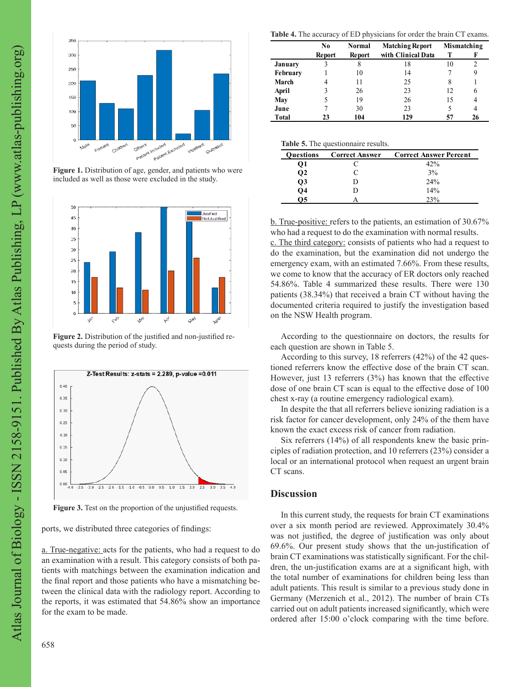

**Figure 1.** Distribution of age, gender, and patients who were included as well as those were excluded in the study.



**Figure 2.** Distribution of the justified and non-justified requests during the period of study.



**Figure 3.** Test on the proportion of the unjustified requests.

ports, we distributed three categories of findings:

a. True-negative: acts for the patients, who had a request to do an examination with a result. This category consists of both patients with matchings between the examination indication and the final report and those patients who have a mismatching between the clinical data with the radiology report. According to the reports, it was estimated that 54.86% show an importance for the exam to be made.

**Table 4.** The accuracy of ED physicians for order the brain CT exams.

|          | No     | Normal | <b>Matching Report</b> | Mismatching |    |
|----------|--------|--------|------------------------|-------------|----|
|          | Report | Report | with Clinical Data     | Т           | K  |
| January  |        | 8      | 18                     | 10          |    |
| February |        | 10     | 14                     |             |    |
| March    |        | 11     | 25                     | 8           |    |
| April    |        | 26     | 23                     | 12          | 6  |
| May      |        | 19     | 26                     | 15          |    |
| June     |        | 30     | 23                     | 5           |    |
| Total    | 23     | 104    | 129                    | 57          | 26 |

#### **Table 5.** The questionnaire results.

| <b>Ouestions</b> | <b>Correct Answer</b> | <b>Correct Answer Percent</b> |
|------------------|-----------------------|-------------------------------|
| 01               | €                     | 42%                           |
| $\overline{Q2}$  | C                     | 3%                            |
| Q <sub>3</sub>   | , ו                   | 24%                           |
| <b>O4</b>        | ו ו                   | 14%                           |
| 15               |                       | 23%                           |

b. True-positive: refers to the patients, an estimation of 30.67% who had a request to do the examination with normal results. c. The third category: consists of patients who had a request to do the examination, but the examination did not undergo the emergency exam, with an estimated 7.66%. From these results, we come to know that the accuracy of ER doctors only reached 54.86%. Table 4 summarized these results. There were 130 patients (38.34%) that received a brain CT without having the documented criteria required to justify the investigation based on the NSW Health program.

According to the questionnaire on doctors, the results for each question are shown in Table 5.

According to this survey, 18 referrers (42%) of the 42 questioned referrers know the effective dose of the brain CT scan. However, just 13 referrers (3%) has known that the effective dose of one brain CT scan is equal to the effective dose of 100 chest x-ray (a routine emergency radiological exam).

In despite the that all referrers believe ionizing radiation is a risk factor for cancer development, only 24% of the them have known the exact excess risk of cancer from radiation.

Six referrers (14%) of all respondents knew the basic principles of radiation protection, and 10 referrers (23%) consider a local or an international protocol when request an urgent brain CT scans.

#### **Discussion**

In this current study, the requests for brain CT examinations over a six month period are reviewed. Approximately 30.4% was not justified, the degree of justification was only about 69.6%. Our present study shows that the un-justification of brain CT examinations was statistically significant. For the children, the un-justification exams are at a significant high, with the total number of examinations for children being less than adult patients. This result is similar to a previous study done in Germany (Merzenich et al., 2012). The number of brain CTs carried out on adult patients increased significantly, which were ordered after 15:00 o'clock comparing with the time before.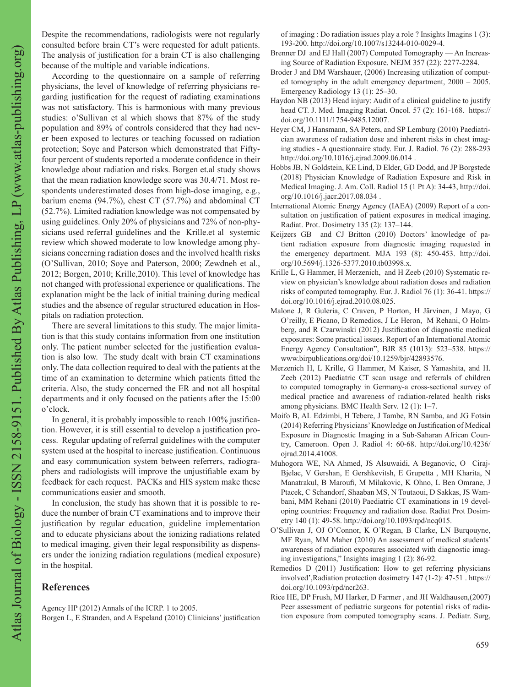Despite the recommendations, radiologists were not regularly consulted before brain CT's were requested for adult patients. The analysis of justification for a brain CT is also challenging because of the multiple and variable indications.

According to the questionnaire on a sample of referring physicians, the level of knowledge of referring physicians regarding justification for the request of radiating examinations was not satisfactory. This is harmonious with many previous studies: o'Sullivan et al which shows that 87% of the study population and 89% of controls considered that they had never been exposed to lectures or teaching focussed on radiation protection; Soye and Paterson which demonstrated that Fiftyfour percent of students reported a moderate confidence in their knowledge about radiation and risks. Borgen et.al study shows that the mean radiation knowledge score was 30.4/71. Most respondents underestimated doses from high-dose imaging, e.g., barium enema (94.7%), chest CT (57.7%) and abdominal CT (52.7%). Limited radiation knowledge was not compensated by using guidelines. Only 20% of physicians and 72% of non-physicians used referral guidelines and the Krille.et al systemic review which showed moderate to low knowledge among physicians concerning radiation doses and the involved health risks (O'Sullivan, 2010; Soye and Paterson, 2000; Zewdneh et al., 2012; Borgen, 2010; Krille,2010). This level of knowledge has not changed with professional experience or qualifications. The explanation might be the lack of initial training during medical studies and the absence of regular structured education in Hospitals on radiation protection.

There are several limitations to this study. The major limitation is that this study contains information from one institution only. The patient number selected for the justification evaluation is also low. The study dealt with brain CT examinations only. The data collection required to deal with the patients at the time of an examination to determine which patients fitted the criteria. Also, the study concerned the ER and not all hospital departments and it only focused on the patients after the 15:00 o'clock.

In general, it is probably impossible to reach 100% justification. However, it is still essential to develop a justification process. Regular updating of referral guidelines with the computer system used at the hospital to increase justification. Continuous and easy communication system between referrers, radiographers and radiologists will improve the unjustifiable exam by feedback for each request. PACKs and HIS system make these communications easier and smooth.

In conclusion, the study has shown that it is possible to reduce the number of brain CT examinations and to improve their justification by regular education, guideline implementation and to educate physicians about the ionizing radiations related to medical imaging, given their legal responsibility as dispensers under the ionizing radiation regulations (medical exposure) in the hospital.

## **References**

Agency HP (2012) Annals of the ICRP. 1 to 2005.

Borgen L, E Stranden, and A Espeland (2010) Clinicians' justification

of imaging : Do radiation issues play a role ? Insights Imagins 1 (3): 193-200. http://doi.org/10.1007/s13244-010-0029-4.

- Brenner DJ and EJ Hall (2007) Computed Tomography An Increasing Source of Radiation Exposure. NEJM 357 (22): 2277-2284.
- Broder J and DM Warshauer, (2006) Increasing utilization of computed tomography in the adult emergency department, 2000 – 2005. Emergency Radiology 13 (1): 25–30.
- Haydon NB (2013) Head injury: Audit of a clinical guideline to justify head CT. J. Med. Imaging Radiat. Oncol. 57 (2): 161-168. https:// doi.org/10.1111/1754-9485.12007.
- Heyer CM, J Hansmann, SA Peters, and SP Lemburg (2010) Paediatrician awareness of radiation dose and inherent risks in chest imaging studies - A questionnaire study. Eur. J. Radiol. 76 (2): 288-293 http://doi.org/10.1016/j.ejrad.2009.06.014 .
- Hobbs JB, N Goldstein, KE Lind, D Elder, GD Dodd, and JP Borgstede (2018) Physician Knowledge of Radiation Exposure and Risk in Medical Imaging. J. Am. Coll. Radiol 15 (1 Pt A): 34-43, http://doi. org/10.1016/j.jacr.2017.08.034 .
- International Atomic Energy Agency (IAEA) (2009) Report of a consultation on justification of patient exposures in medical imaging. Radiat. Prot. Dosimetry 135 (2): 137–144.
- Keijzers GB and CJ Britton (2010) Doctors' knowledge of patient radiation exposure from diagnostic imaging requested in the emergency department. MJA 193 (8): 450-453. http://doi. org/10.5694/j.1326-5377.2010.tb03998.x.
- Krille L, G Hammer, H Merzenich, and H Zeeb (2010) Systematic review on physician's knowledge about radiation doses and radiation risks of computed tomography. Eur. J. Radiol 76 (1): 36-41. https:// doi.org/10.1016/j.ejrad.2010.08.025.
- Malone J, R Guleria, C Craven, P Horton, H Järvinen, J Mayo, G O'reilly, E Picano, D Remedios, J Le Heron, M Rehani, O Holmberg, and R Czarwinski (2012) Justification of diagnostic medical exposures: Some practical issues. Report of an International Atomic Energy Agency Consultation", BJR 85 (1013): 523–538. https:// www.birpublications.org/doi/10.1259/bjr/42893576.
- Merzenich H, L Krille, G Hammer, M Kaiser, S Yamashita, and H. Zeeb (2012) Paediatric CT scan usage and referrals of children to computed tomography in Germany-a cross-sectional survey of medical practice and awareness of radiation-related health risks among physicians. BMC Health Serv. 12 (1): 1–7.
- Moifo B, AL Edzimbi, H Tebere, J Tambe, RN Samba, and JG Fotsin (2014) Referring Physicians' Knowledge on Justification of Medical Exposure in Diagnostic Imaging in a Sub-Saharan African Country, Cameroon. Open J. Radiol 4: 60-68. http://doi.org/10.4236/ ojrad.2014.41008.
- Muhogora WE, NA Ahmed, JS Alsuwaidi, A Beganovic, O Ciraj-Bjelac, V Gershan, E Gershkevitsh, E Grupetta , MH Kharita, N Manatrakul, B Maroufi, M Milakovic, K Ohno, L Ben Omrane, J Ptacek, C Schandorf, Shaaban MS, N Toutaoui, D Sakkas, JS Wambani, MM Rehani (2010) Paediatric CT examinations in 19 developing countries: Frequency and radiation dose. Radiat Prot Dosimetry 140 (1): 49-58. http://doi.org/10.1093/rpd/ncq015.
- O'Sullivan J, OJ O'Connor, K O'Regan, B Clarke, LN Burqouyne, MF Ryan, MM Maher (2010) An assessment of medical students' awareness of radiation exposures associated with diagnostic imaging investigations," Insights imaging 1 (2): 86-92.
- Remedios D (2011) Justification: How to get referring physicians involved',Radiation protection dosimetry 147 (1-2): 47-51 . https:// doi.org/10.1093/rpd/ncr263.
- Rice HE, DP Frush, MJ Harker, D Farmer , and JH Waldhausen,(2007) Peer assessment of pediatric surgeons for potential risks of radiation exposure from computed tomography scans. J. Pediatr. Surg,